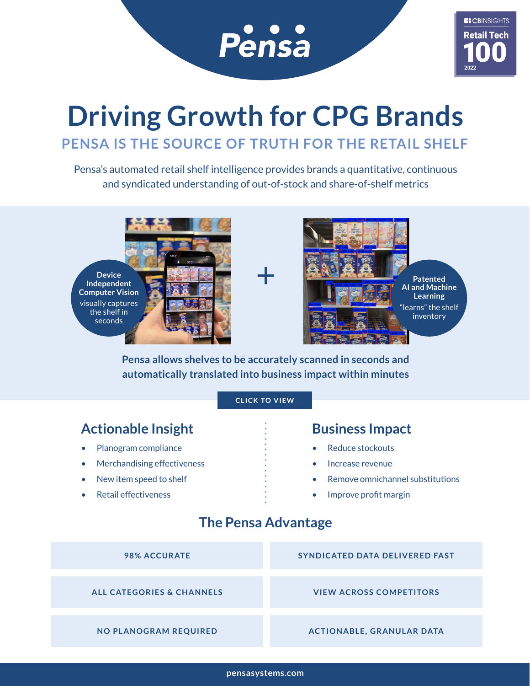

# **Driving Growth for CPG Brands PENSA IS THE SOURCE OF TRUTH FOR THE RETAIL SHELF**

Pensa's automated retail shelf intelligence provides brands a quantitative, continuous and syndicated understanding of out-of-stock and share-of-shelf metrics





**Pensa allows shelves to be accurately scanned in seconds and automatically translated into business impact within minutes**

### **[CLICK TO VIEW](https://www.pensasystems.com/technology/#rapid_scan)**

### Actionable Insight **Business Impact**

- Planogram compliance
- Merchandising effectiveness
- New item speed to shelf
- Retail effectiveness

- Reduce stockouts
- Increase revenue
- Remove omnichannel substitutions
- Improve profit margin

### **The Pensa Advantage**

| <b>98% ACCURATE</b>                  | <b>SYNDICATED DATA DELIVERED FAST</b> |
|--------------------------------------|---------------------------------------|
|                                      |                                       |
| <b>ALL CATEGORIES &amp; CHANNELS</b> | <b>VIEW ACROSS COMPETITORS</b>        |
|                                      |                                       |
| <b>NO PLANOGRAM REQUIRED</b>         | <b>ACTIONABLE, GRANULAR DATA</b>      |